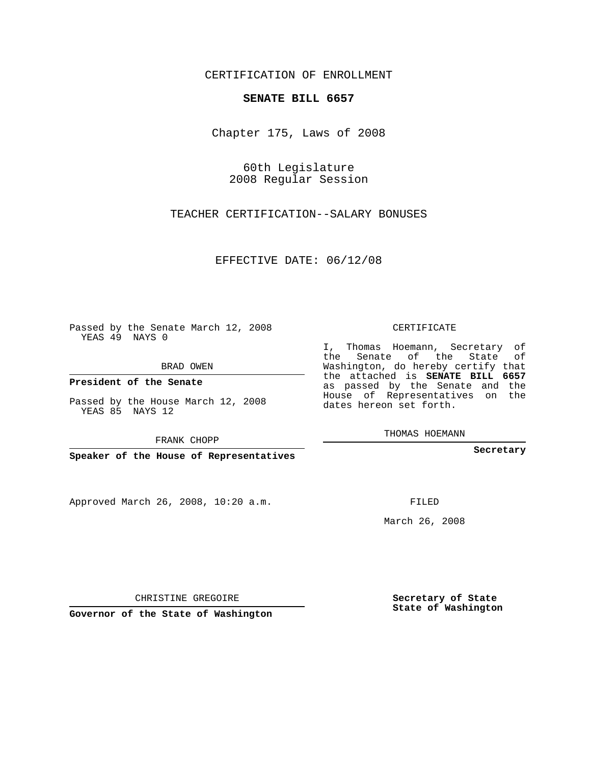CERTIFICATION OF ENROLLMENT

## **SENATE BILL 6657**

Chapter 175, Laws of 2008

60th Legislature 2008 Regular Session

TEACHER CERTIFICATION--SALARY BONUSES

EFFECTIVE DATE: 06/12/08

Passed by the Senate March 12, 2008 YEAS 49 NAYS 0

BRAD OWEN

**President of the Senate**

Passed by the House March 12, 2008 YEAS 85 NAYS 12

FRANK CHOPP

**Speaker of the House of Representatives**

Approved March 26, 2008, 10:20 a.m.

CERTIFICATE

I, Thomas Hoemann, Secretary of the Senate of the State of Washington, do hereby certify that the attached is **SENATE BILL 6657** as passed by the Senate and the House of Representatives on the dates hereon set forth.

THOMAS HOEMANN

**Secretary**

FILED

March 26, 2008

**Secretary of State State of Washington**

CHRISTINE GREGOIRE

**Governor of the State of Washington**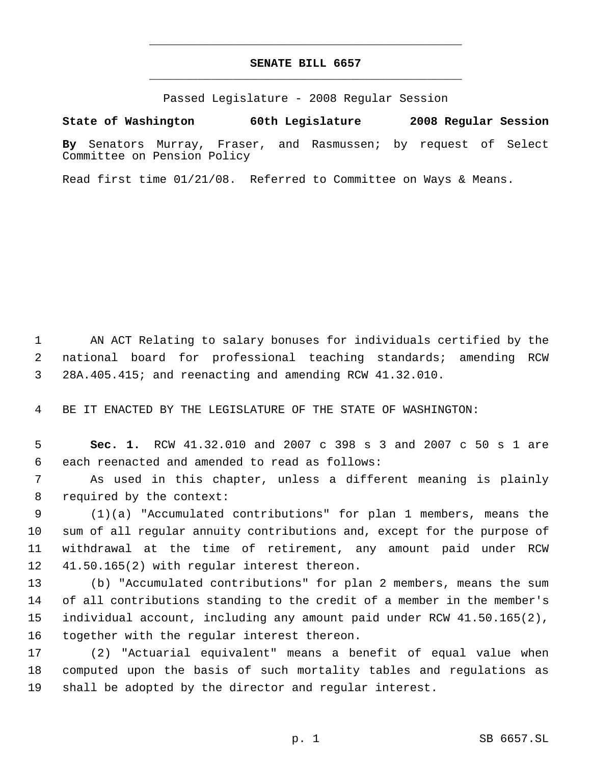## **SENATE BILL 6657** \_\_\_\_\_\_\_\_\_\_\_\_\_\_\_\_\_\_\_\_\_\_\_\_\_\_\_\_\_\_\_\_\_\_\_\_\_\_\_\_\_\_\_\_\_

\_\_\_\_\_\_\_\_\_\_\_\_\_\_\_\_\_\_\_\_\_\_\_\_\_\_\_\_\_\_\_\_\_\_\_\_\_\_\_\_\_\_\_\_\_

Passed Legislature - 2008 Regular Session

**State of Washington 60th Legislature 2008 Regular Session**

**By** Senators Murray, Fraser, and Rasmussen; by request of Select Committee on Pension Policy

Read first time 01/21/08. Referred to Committee on Ways & Means.

 AN ACT Relating to salary bonuses for individuals certified by the national board for professional teaching standards; amending RCW 28A.405.415; and reenacting and amending RCW 41.32.010.

BE IT ENACTED BY THE LEGISLATURE OF THE STATE OF WASHINGTON:

 **Sec. 1.** RCW 41.32.010 and 2007 c 398 s 3 and 2007 c 50 s 1 are each reenacted and amended to read as follows:

 As used in this chapter, unless a different meaning is plainly required by the context:

 (1)(a) "Accumulated contributions" for plan 1 members, means the sum of all regular annuity contributions and, except for the purpose of withdrawal at the time of retirement, any amount paid under RCW 41.50.165(2) with regular interest thereon.

 (b) "Accumulated contributions" for plan 2 members, means the sum of all contributions standing to the credit of a member in the member's individual account, including any amount paid under RCW 41.50.165(2), together with the regular interest thereon.

 (2) "Actuarial equivalent" means a benefit of equal value when computed upon the basis of such mortality tables and regulations as shall be adopted by the director and regular interest.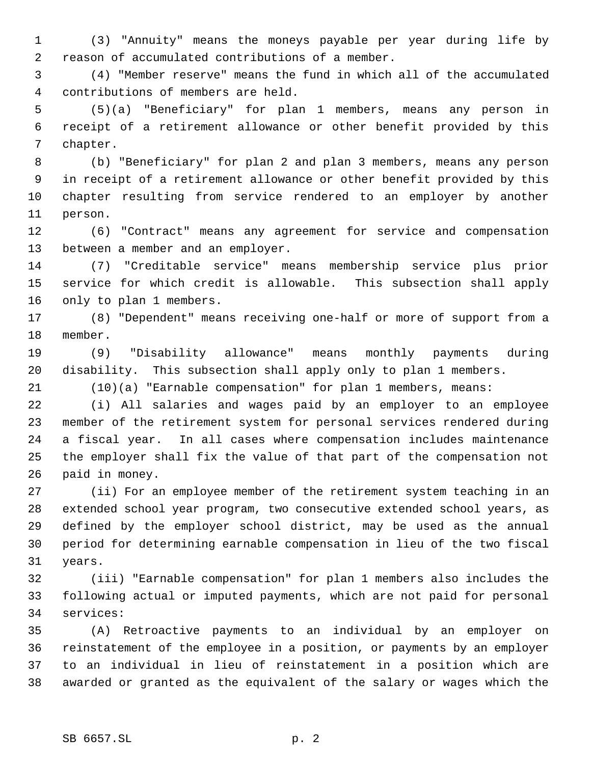(3) "Annuity" means the moneys payable per year during life by reason of accumulated contributions of a member.

 (4) "Member reserve" means the fund in which all of the accumulated contributions of members are held.

 (5)(a) "Beneficiary" for plan 1 members, means any person in receipt of a retirement allowance or other benefit provided by this chapter.

 (b) "Beneficiary" for plan 2 and plan 3 members, means any person in receipt of a retirement allowance or other benefit provided by this chapter resulting from service rendered to an employer by another person.

 (6) "Contract" means any agreement for service and compensation between a member and an employer.

 (7) "Creditable service" means membership service plus prior service for which credit is allowable. This subsection shall apply only to plan 1 members.

 (8) "Dependent" means receiving one-half or more of support from a member.

 (9) "Disability allowance" means monthly payments during disability. This subsection shall apply only to plan 1 members.

(10)(a) "Earnable compensation" for plan 1 members, means:

 (i) All salaries and wages paid by an employer to an employee member of the retirement system for personal services rendered during a fiscal year. In all cases where compensation includes maintenance the employer shall fix the value of that part of the compensation not paid in money.

 (ii) For an employee member of the retirement system teaching in an extended school year program, two consecutive extended school years, as defined by the employer school district, may be used as the annual period for determining earnable compensation in lieu of the two fiscal years.

 (iii) "Earnable compensation" for plan 1 members also includes the following actual or imputed payments, which are not paid for personal services:

 (A) Retroactive payments to an individual by an employer on reinstatement of the employee in a position, or payments by an employer to an individual in lieu of reinstatement in a position which are awarded or granted as the equivalent of the salary or wages which the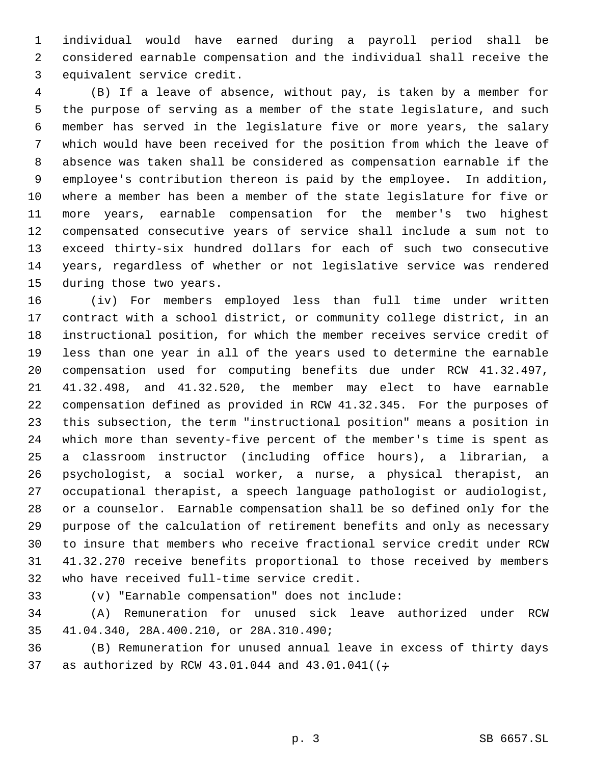individual would have earned during a payroll period shall be considered earnable compensation and the individual shall receive the equivalent service credit.

 (B) If a leave of absence, without pay, is taken by a member for the purpose of serving as a member of the state legislature, and such member has served in the legislature five or more years, the salary which would have been received for the position from which the leave of absence was taken shall be considered as compensation earnable if the employee's contribution thereon is paid by the employee. In addition, where a member has been a member of the state legislature for five or more years, earnable compensation for the member's two highest compensated consecutive years of service shall include a sum not to exceed thirty-six hundred dollars for each of such two consecutive years, regardless of whether or not legislative service was rendered during those two years.

 (iv) For members employed less than full time under written contract with a school district, or community college district, in an instructional position, for which the member receives service credit of less than one year in all of the years used to determine the earnable compensation used for computing benefits due under RCW 41.32.497, 41.32.498, and 41.32.520, the member may elect to have earnable compensation defined as provided in RCW 41.32.345. For the purposes of this subsection, the term "instructional position" means a position in which more than seventy-five percent of the member's time is spent as a classroom instructor (including office hours), a librarian, a psychologist, a social worker, a nurse, a physical therapist, an occupational therapist, a speech language pathologist or audiologist, or a counselor. Earnable compensation shall be so defined only for the purpose of the calculation of retirement benefits and only as necessary to insure that members who receive fractional service credit under RCW 41.32.270 receive benefits proportional to those received by members who have received full-time service credit.

(v) "Earnable compensation" does not include:

 (A) Remuneration for unused sick leave authorized under RCW 41.04.340, 28A.400.210, or 28A.310.490;

 (B) Remuneration for unused annual leave in excess of thirty days 37 as authorized by RCW 43.01.044 and  $43.01.041$  ( $\div$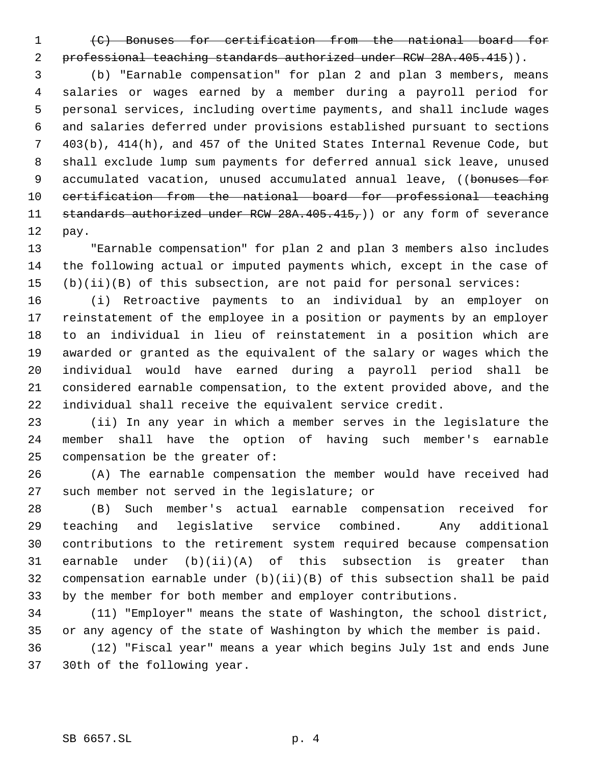- 
- 

 (C) Bonuses for certification from the national board for 2 professional teaching standards authorized under RCW 28A.405.415)).

 (b) "Earnable compensation" for plan 2 and plan 3 members, means salaries or wages earned by a member during a payroll period for personal services, including overtime payments, and shall include wages and salaries deferred under provisions established pursuant to sections 403(b), 414(h), and 457 of the United States Internal Revenue Code, but shall exclude lump sum payments for deferred annual sick leave, unused 9 accumulated vacation, unused accumulated annual leave, ((bonuses for certification from the national board for professional teaching 11 standards authorized under RCW 28A.405.415,)) or any form of severance pay.

 "Earnable compensation" for plan 2 and plan 3 members also includes the following actual or imputed payments which, except in the case of (b)(ii)(B) of this subsection, are not paid for personal services:

 (i) Retroactive payments to an individual by an employer on reinstatement of the employee in a position or payments by an employer to an individual in lieu of reinstatement in a position which are awarded or granted as the equivalent of the salary or wages which the individual would have earned during a payroll period shall be considered earnable compensation, to the extent provided above, and the individual shall receive the equivalent service credit.

 (ii) In any year in which a member serves in the legislature the member shall have the option of having such member's earnable compensation be the greater of:

 (A) The earnable compensation the member would have received had such member not served in the legislature; or

 (B) Such member's actual earnable compensation received for teaching and legislative service combined. Any additional contributions to the retirement system required because compensation earnable under (b)(ii)(A) of this subsection is greater than compensation earnable under (b)(ii)(B) of this subsection shall be paid by the member for both member and employer contributions.

 (11) "Employer" means the state of Washington, the school district, or any agency of the state of Washington by which the member is paid. (12) "Fiscal year" means a year which begins July 1st and ends June 30th of the following year.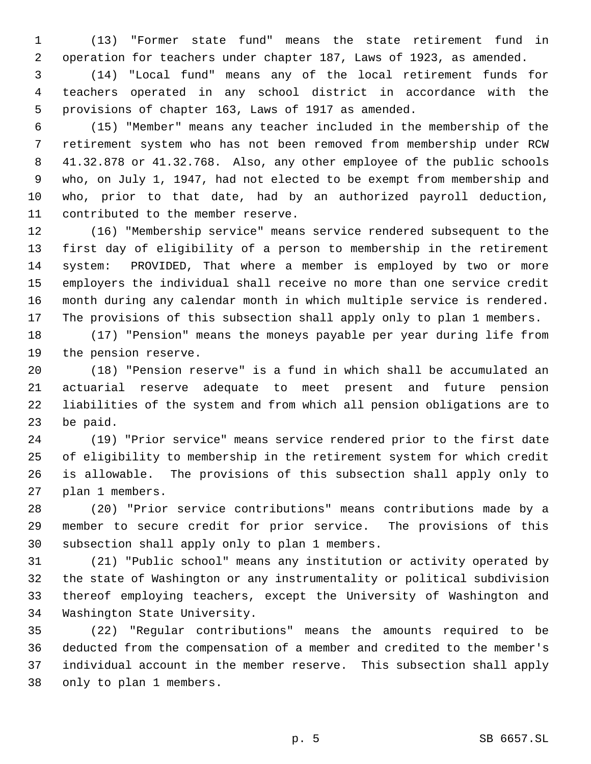(13) "Former state fund" means the state retirement fund in operation for teachers under chapter 187, Laws of 1923, as amended.

 (14) "Local fund" means any of the local retirement funds for teachers operated in any school district in accordance with the provisions of chapter 163, Laws of 1917 as amended.

 (15) "Member" means any teacher included in the membership of the retirement system who has not been removed from membership under RCW 41.32.878 or 41.32.768. Also, any other employee of the public schools who, on July 1, 1947, had not elected to be exempt from membership and who, prior to that date, had by an authorized payroll deduction, contributed to the member reserve.

 (16) "Membership service" means service rendered subsequent to the first day of eligibility of a person to membership in the retirement system: PROVIDED, That where a member is employed by two or more employers the individual shall receive no more than one service credit month during any calendar month in which multiple service is rendered. The provisions of this subsection shall apply only to plan 1 members.

 (17) "Pension" means the moneys payable per year during life from the pension reserve.

 (18) "Pension reserve" is a fund in which shall be accumulated an actuarial reserve adequate to meet present and future pension liabilities of the system and from which all pension obligations are to be paid.

 (19) "Prior service" means service rendered prior to the first date of eligibility to membership in the retirement system for which credit is allowable. The provisions of this subsection shall apply only to plan 1 members.

 (20) "Prior service contributions" means contributions made by a member to secure credit for prior service. The provisions of this subsection shall apply only to plan 1 members.

 (21) "Public school" means any institution or activity operated by the state of Washington or any instrumentality or political subdivision thereof employing teachers, except the University of Washington and Washington State University.

 (22) "Regular contributions" means the amounts required to be deducted from the compensation of a member and credited to the member's individual account in the member reserve. This subsection shall apply only to plan 1 members.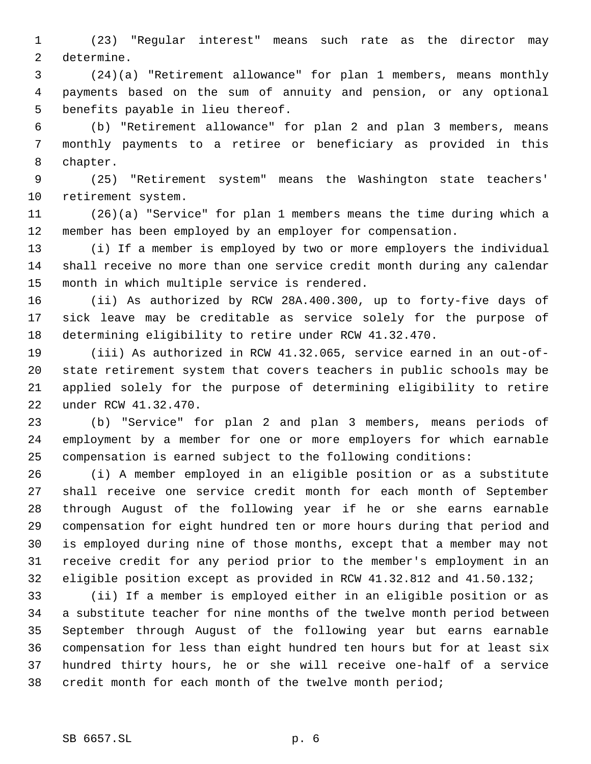(23) "Regular interest" means such rate as the director may determine.

 (24)(a) "Retirement allowance" for plan 1 members, means monthly payments based on the sum of annuity and pension, or any optional benefits payable in lieu thereof.

 (b) "Retirement allowance" for plan 2 and plan 3 members, means monthly payments to a retiree or beneficiary as provided in this chapter.

 (25) "Retirement system" means the Washington state teachers' retirement system.

 (26)(a) "Service" for plan 1 members means the time during which a member has been employed by an employer for compensation.

 (i) If a member is employed by two or more employers the individual shall receive no more than one service credit month during any calendar month in which multiple service is rendered.

 (ii) As authorized by RCW 28A.400.300, up to forty-five days of sick leave may be creditable as service solely for the purpose of determining eligibility to retire under RCW 41.32.470.

 (iii) As authorized in RCW 41.32.065, service earned in an out-of- state retirement system that covers teachers in public schools may be applied solely for the purpose of determining eligibility to retire under RCW 41.32.470.

 (b) "Service" for plan 2 and plan 3 members, means periods of employment by a member for one or more employers for which earnable compensation is earned subject to the following conditions:

 (i) A member employed in an eligible position or as a substitute shall receive one service credit month for each month of September through August of the following year if he or she earns earnable compensation for eight hundred ten or more hours during that period and is employed during nine of those months, except that a member may not receive credit for any period prior to the member's employment in an eligible position except as provided in RCW 41.32.812 and 41.50.132;

 (ii) If a member is employed either in an eligible position or as a substitute teacher for nine months of the twelve month period between September through August of the following year but earns earnable compensation for less than eight hundred ten hours but for at least six hundred thirty hours, he or she will receive one-half of a service credit month for each month of the twelve month period;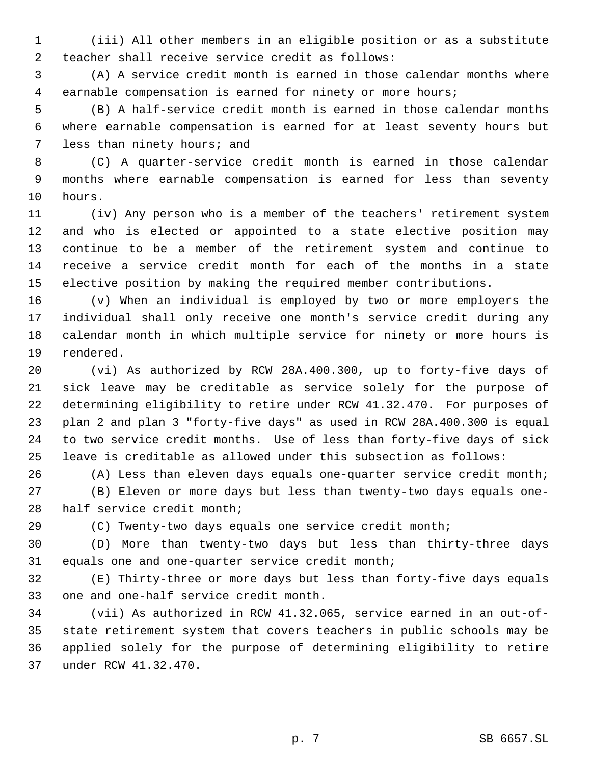(iii) All other members in an eligible position or as a substitute teacher shall receive service credit as follows:

 (A) A service credit month is earned in those calendar months where earnable compensation is earned for ninety or more hours;

 (B) A half-service credit month is earned in those calendar months where earnable compensation is earned for at least seventy hours but less than ninety hours; and

 (C) A quarter-service credit month is earned in those calendar months where earnable compensation is earned for less than seventy hours.

 (iv) Any person who is a member of the teachers' retirement system and who is elected or appointed to a state elective position may continue to be a member of the retirement system and continue to receive a service credit month for each of the months in a state elective position by making the required member contributions.

 (v) When an individual is employed by two or more employers the individual shall only receive one month's service credit during any calendar month in which multiple service for ninety or more hours is rendered.

 (vi) As authorized by RCW 28A.400.300, up to forty-five days of sick leave may be creditable as service solely for the purpose of determining eligibility to retire under RCW 41.32.470. For purposes of plan 2 and plan 3 "forty-five days" as used in RCW 28A.400.300 is equal to two service credit months. Use of less than forty-five days of sick leave is creditable as allowed under this subsection as follows:

(A) Less than eleven days equals one-quarter service credit month;

 (B) Eleven or more days but less than twenty-two days equals one-half service credit month;

(C) Twenty-two days equals one service credit month;

 (D) More than twenty-two days but less than thirty-three days equals one and one-quarter service credit month;

 (E) Thirty-three or more days but less than forty-five days equals one and one-half service credit month.

 (vii) As authorized in RCW 41.32.065, service earned in an out-of- state retirement system that covers teachers in public schools may be applied solely for the purpose of determining eligibility to retire under RCW 41.32.470.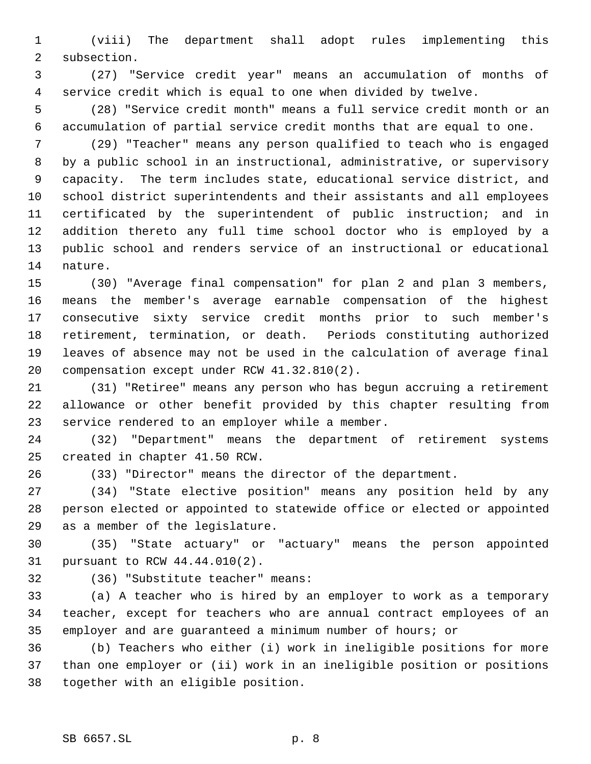(viii) The department shall adopt rules implementing this subsection.

 (27) "Service credit year" means an accumulation of months of service credit which is equal to one when divided by twelve.

 (28) "Service credit month" means a full service credit month or an accumulation of partial service credit months that are equal to one.

 (29) "Teacher" means any person qualified to teach who is engaged by a public school in an instructional, administrative, or supervisory capacity. The term includes state, educational service district, and school district superintendents and their assistants and all employees certificated by the superintendent of public instruction; and in addition thereto any full time school doctor who is employed by a public school and renders service of an instructional or educational nature.

 (30) "Average final compensation" for plan 2 and plan 3 members, means the member's average earnable compensation of the highest consecutive sixty service credit months prior to such member's retirement, termination, or death. Periods constituting authorized leaves of absence may not be used in the calculation of average final compensation except under RCW 41.32.810(2).

 (31) "Retiree" means any person who has begun accruing a retirement allowance or other benefit provided by this chapter resulting from service rendered to an employer while a member.

 (32) "Department" means the department of retirement systems created in chapter 41.50 RCW.

(33) "Director" means the director of the department.

 (34) "State elective position" means any position held by any person elected or appointed to statewide office or elected or appointed as a member of the legislature.

 (35) "State actuary" or "actuary" means the person appointed pursuant to RCW 44.44.010(2).

(36) "Substitute teacher" means:

 (a) A teacher who is hired by an employer to work as a temporary teacher, except for teachers who are annual contract employees of an employer and are guaranteed a minimum number of hours; or

 (b) Teachers who either (i) work in ineligible positions for more than one employer or (ii) work in an ineligible position or positions together with an eligible position.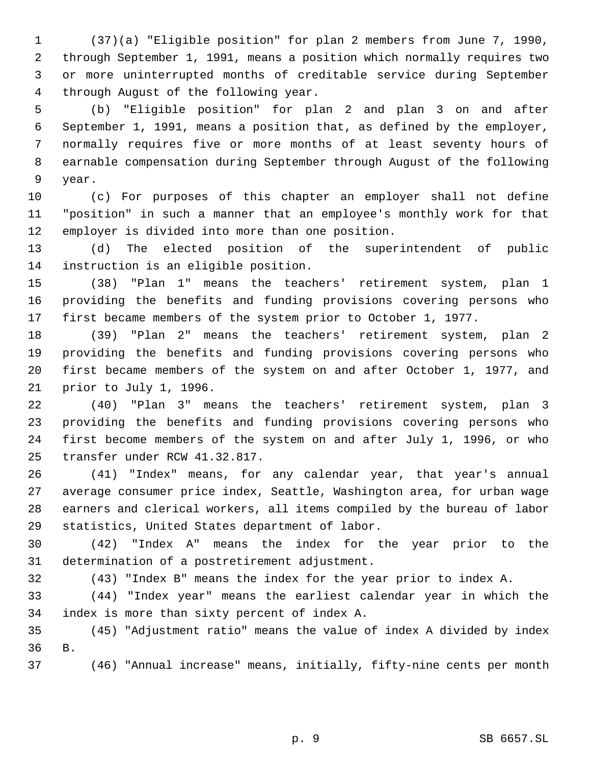(37)(a) "Eligible position" for plan 2 members from June 7, 1990, through September 1, 1991, means a position which normally requires two or more uninterrupted months of creditable service during September through August of the following year.

 (b) "Eligible position" for plan 2 and plan 3 on and after September 1, 1991, means a position that, as defined by the employer, normally requires five or more months of at least seventy hours of earnable compensation during September through August of the following year.

 (c) For purposes of this chapter an employer shall not define "position" in such a manner that an employee's monthly work for that employer is divided into more than one position.

 (d) The elected position of the superintendent of public instruction is an eligible position.

 (38) "Plan 1" means the teachers' retirement system, plan 1 providing the benefits and funding provisions covering persons who first became members of the system prior to October 1, 1977.

 (39) "Plan 2" means the teachers' retirement system, plan 2 providing the benefits and funding provisions covering persons who first became members of the system on and after October 1, 1977, and prior to July 1, 1996.

 (40) "Plan 3" means the teachers' retirement system, plan 3 providing the benefits and funding provisions covering persons who first become members of the system on and after July 1, 1996, or who transfer under RCW 41.32.817.

 (41) "Index" means, for any calendar year, that year's annual average consumer price index, Seattle, Washington area, for urban wage earners and clerical workers, all items compiled by the bureau of labor statistics, United States department of labor.

 (42) "Index A" means the index for the year prior to the determination of a postretirement adjustment.

(43) "Index B" means the index for the year prior to index A.

 (44) "Index year" means the earliest calendar year in which the index is more than sixty percent of index A.

 (45) "Adjustment ratio" means the value of index A divided by index B.

(46) "Annual increase" means, initially, fifty-nine cents per month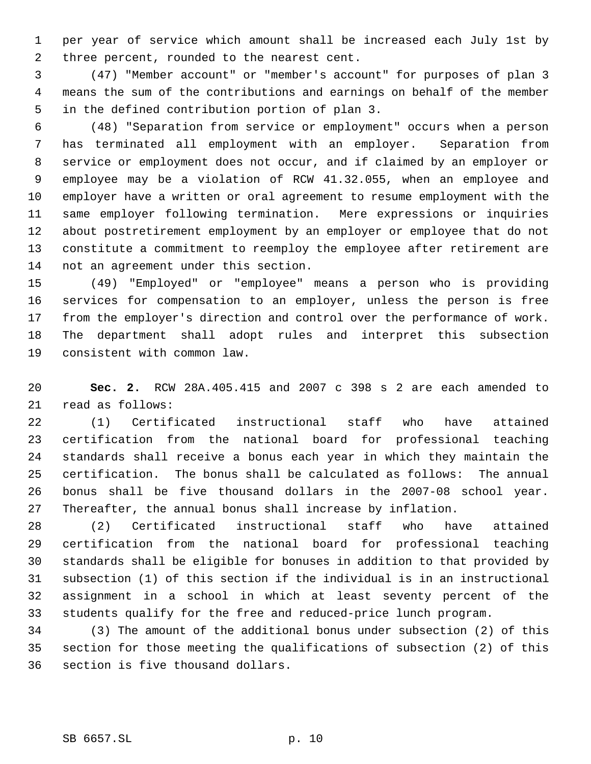per year of service which amount shall be increased each July 1st by three percent, rounded to the nearest cent.

 (47) "Member account" or "member's account" for purposes of plan 3 means the sum of the contributions and earnings on behalf of the member in the defined contribution portion of plan 3.

 (48) "Separation from service or employment" occurs when a person has terminated all employment with an employer. Separation from service or employment does not occur, and if claimed by an employer or employee may be a violation of RCW 41.32.055, when an employee and employer have a written or oral agreement to resume employment with the same employer following termination. Mere expressions or inquiries about postretirement employment by an employer or employee that do not constitute a commitment to reemploy the employee after retirement are not an agreement under this section.

 (49) "Employed" or "employee" means a person who is providing services for compensation to an employer, unless the person is free from the employer's direction and control over the performance of work. The department shall adopt rules and interpret this subsection consistent with common law.

 **Sec. 2.** RCW 28A.405.415 and 2007 c 398 s 2 are each amended to read as follows:

 (1) Certificated instructional staff who have attained certification from the national board for professional teaching standards shall receive a bonus each year in which they maintain the certification. The bonus shall be calculated as follows: The annual bonus shall be five thousand dollars in the 2007-08 school year. Thereafter, the annual bonus shall increase by inflation.

 (2) Certificated instructional staff who have attained certification from the national board for professional teaching standards shall be eligible for bonuses in addition to that provided by subsection (1) of this section if the individual is in an instructional assignment in a school in which at least seventy percent of the students qualify for the free and reduced-price lunch program.

 (3) The amount of the additional bonus under subsection (2) of this section for those meeting the qualifications of subsection (2) of this section is five thousand dollars.